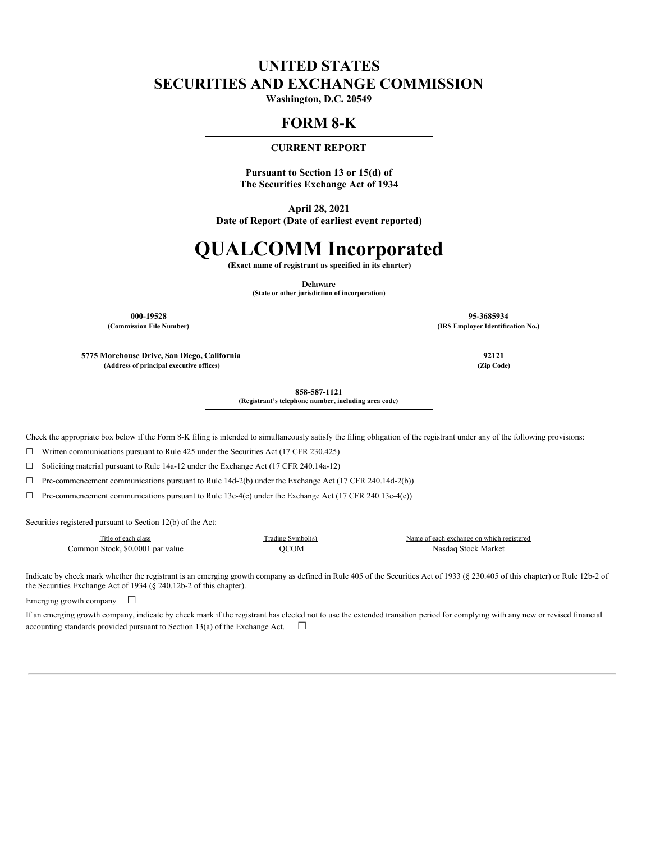# **UNITED STATES SECURITIES AND EXCHANGE COMMISSION**

**Washington, D.C. 20549**

# **FORM 8-K**

# **CURRENT REPORT**

**Pursuant to Section 13 or 15(d) of The Securities Exchange Act of 1934**

**April 28, 2021 Date of Report (Date of earliest event reported)**

# **QUALCOMM Incorporated**

**(Exact name of registrant as specified in its charter)**

**Delaware**

**(State or other jurisdiction of incorporation)**

**000-19528 95-3685934 (Commission File Number) (IRS Employer Identification No.)**

**5775 Morehouse Drive, San Diego, California 92121 (Address of principal executive offices) (Zip Code)**

**858-587-1121 (Registrant's telephone number, including area code)**

Check the appropriate box below if the Form 8-K filing is intended to simultaneously satisfy the filing obligation of the registrant under any of the following provisions:

☐ Written communications pursuant to Rule 425 under the Securities Act (17 CFR 230.425)

 $\Box$  Soliciting material pursuant to Rule 14a-12 under the Exchange Act (17 CFR 240.14a-12)

☐ Pre-commencement communications pursuant to Rule 14d-2(b) under the Exchange Act (17 CFR 240.14d-2(b))

 $\Box$  Pre-commencement communications pursuant to Rule 13e-4(c) under the Exchange Act (17 CFR 240.13e-4(c))

Securities registered pursuant to Section 12(b) of the Act:

Title of each class Trading Symbol(s) Name of each exchange on which registered Common Stock, \$0.0001 par value QCOM Nasdaq Stock Market

Indicate by check mark whether the registrant is an emerging growth company as defined in Rule 405 of the Securities Act of 1933 (§ 230.405 of this chapter) or Rule 12b-2 of the Securities Exchange Act of 1934 (§ 240.12b-2 of this chapter).

Emerging growth company  $\Box$ 

If an emerging growth company, indicate by check mark if the registrant has elected not to use the extended transition period for complying with any new or revised financial accounting standards provided pursuant to Section 13(a) of the Exchange Act.  $\Box$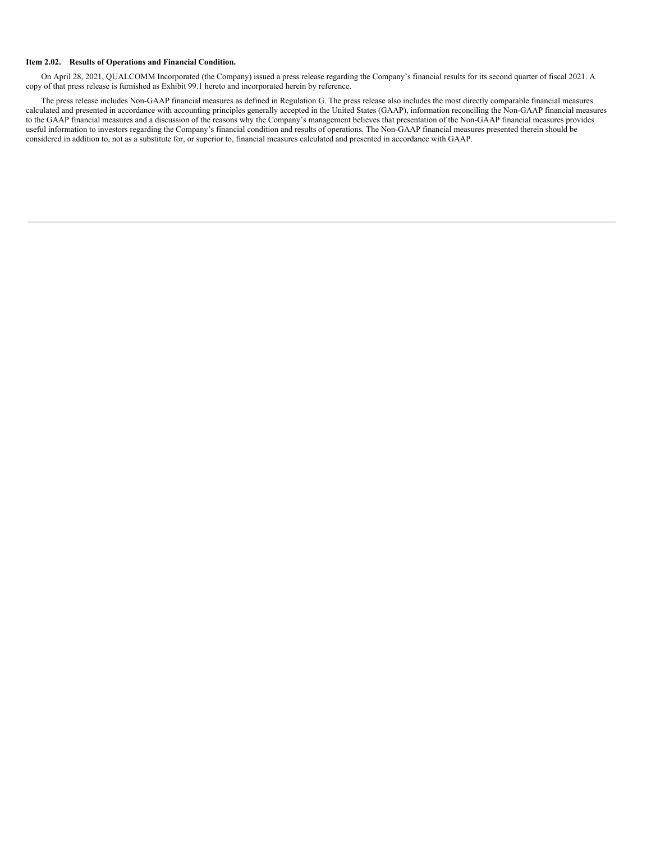#### **Item 2.02. Results of Operations and Financial Condition.**

On April 28, 2021, QUALCOMM Incorporated (the Company) issued a press release regarding the Company's financial results for its second quarter of fiscal 2021. A copy of that press release is furnished as Exhibit 99.1 hereto and incorporated herein by reference.

The press release includes Non-GAAP financial measures as defined in Regulation G. The press release also includes the most directly comparable financial measures calculated and presented in accordance with accounting principles generally accepted in the United States (GAAP), information reconciling the Non-GAAP financial measures to the GAAP financial measures and a discussion of the reasons why the Company's management believes that presentation of the Non-GAAP financial measures provides useful information to investors regarding the Company's financial condition and results of operations. The Non-GAAP financial measures presented therein should be considered in addition to, not as a substitute for, or superior to, financial measures calculated and presented in accordance with GAAP.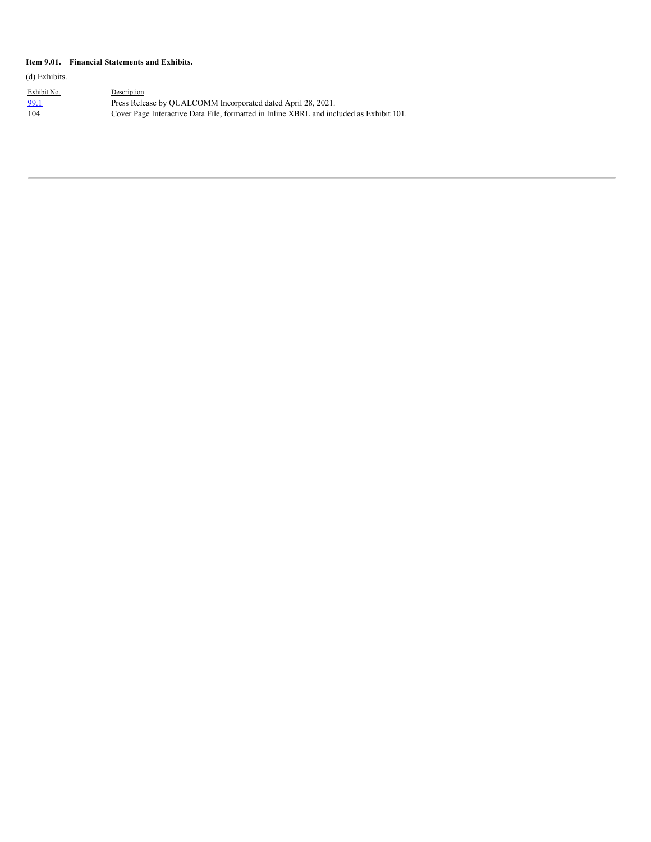#### **Item 9.01. Financial Statements and Exhibits.**

(d) Exhibits.

| <u>Exhibit No.</u> | Description                                                                             |
|--------------------|-----------------------------------------------------------------------------------------|
| <u>99.1</u>        | Press Release by QUALCOMM Incorporated dated April 28, 2021.                            |
| 104                | Cover Page Interactive Data File, formatted in Inline XBRL and included as Exhibit 101. |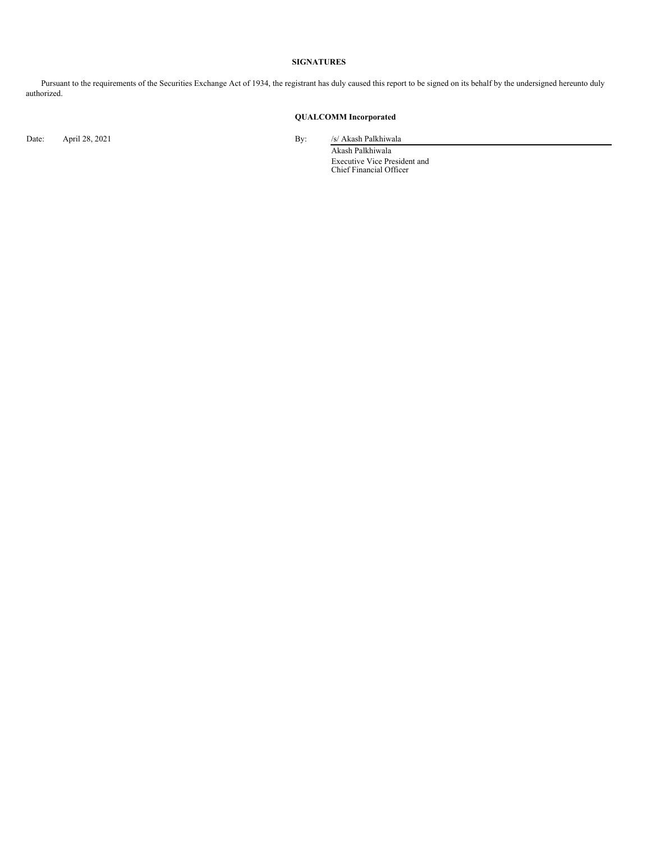#### **SIGNATURES**

Pursuant to the requirements of the Securities Exchange Act of 1934, the registrant has duly caused this report to be signed on its behalf by the undersigned hereunto duly authorized.

# **QUALCOMM Incorporated**

Date: April 28, 2021 By: /s/ Akash Palkhiwala

Akash Palkhiwala Executive Vice President and Chief Financial Officer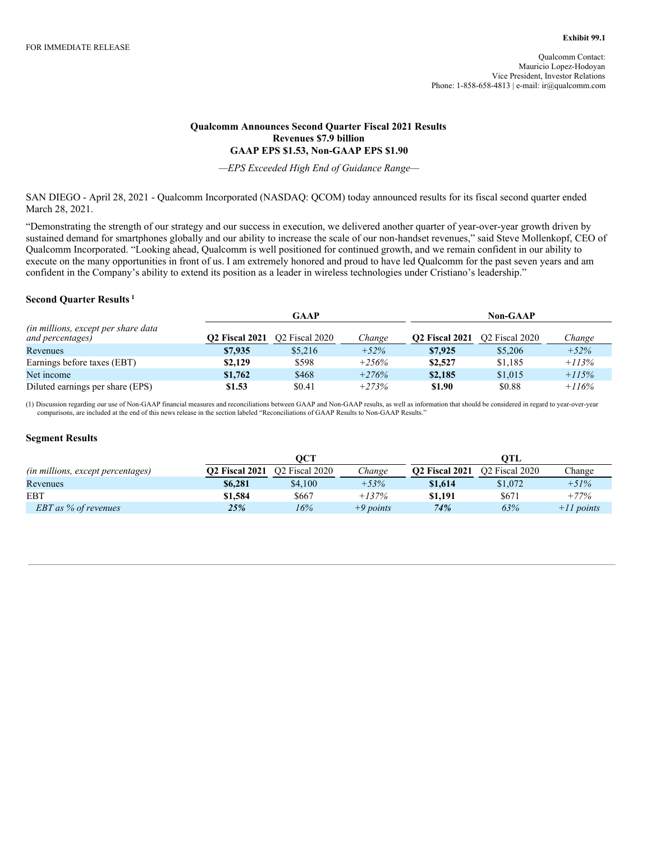## **Qualcomm Announces Second Quarter Fiscal 2021 Results Revenues \$7.9 billion GAAP EPS \$1.53, Non-GAAP EPS \$1.90**

*—EPS Exceeded High End of Guidance Range—*

SAN DIEGO - April 28, 2021 - Qualcomm Incorporated (NASDAQ: QCOM) today announced results for its fiscal second quarter ended March 28, 2021.

"Demonstrating the strength of our strategy and our success in execution, we delivered another quarter of year-over-year growth driven by sustained demand for smartphones globally and our ability to increase the scale of our non-handset revenues," said Steve Mollenkopf, CEO of Qualcomm Incorporated. "Looking ahead, Qualcomm is well positioned for continued growth, and we remain confident in our ability to execute on the many opportunities in front of us. I am extremely honored and proud to have led Qualcomm for the past seven years and am confident in the Company's ability to extend its position as a leader in wireless technologies under Cristiano's leadership."

### **Second Quarter Results 1**

|                                                                 | GAAP                  |                            |         |                       | <b>Non-GAAP</b>            |         |  |  |  |
|-----------------------------------------------------------------|-----------------------|----------------------------|---------|-----------------------|----------------------------|---------|--|--|--|
| <i>(in millions, except per share data)</i><br>and percentages) | <b>O2 Fiscal 2021</b> | O <sub>2</sub> Fiscal 2020 | Change  | <b>O2 Fiscal 2021</b> | O <sub>2</sub> Fiscal 2020 | Change  |  |  |  |
| Revenues                                                        | \$7,935               | \$5,216                    | $+52%$  | \$7,925               | \$5,206                    | $+52%$  |  |  |  |
| Earnings before taxes (EBT)                                     | \$2,129               | \$598                      | $+256%$ | \$2,527               | \$1,185                    | $+113%$ |  |  |  |
| Net income                                                      | \$1,762               | \$468                      | $+276%$ | \$2,185               | \$1,015                    | $+115%$ |  |  |  |
| Diluted earnings per share (EPS)                                | \$1.53                | \$0.41                     | $+273%$ | \$1.90                | \$0.88                     | $+116%$ |  |  |  |

(1) Discussion regarding our use of Non-GAAP financial measures and reconciliations between GAAP and Non-GAAP results, as well as information that should be considered in regard to year-over-year comparisons, are included at the end of this news release in the section labeled "Reconciliations of GAAP Results to Non-GAAP Results."

### **Segment Results**

|                                   |                       | OCT                        |             |                       | OTL                        |              |
|-----------------------------------|-----------------------|----------------------------|-------------|-----------------------|----------------------------|--------------|
| (in millions, except percentages) | <b>O2 Fiscal 2021</b> | O <sub>2</sub> Fiscal 2020 | Change      | <b>O2 Fiscal 2021</b> | O <sub>2</sub> Fiscal 2020 | Change       |
| Revenues                          | \$6,281               | \$4,100                    | $+53%$      | \$1,614               | \$1,072                    | $+51%$       |
| <b>EBT</b>                        | \$1,584               | \$667                      | $+137%$     | \$1,191               | \$671                      | $+77%$       |
| <b>EBT</b> as % of revenues       | 25%                   | 16%                        | $+9$ points | 74%                   | 63%                        | $+II$ points |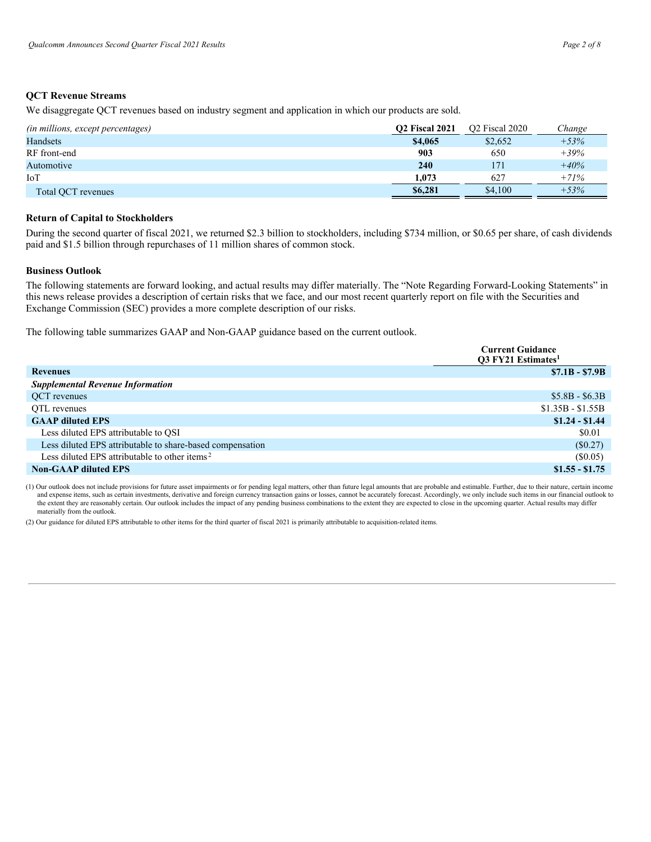### **QCT Revenue Streams**

We disaggregate QCT revenues based on industry segment and application in which our products are sold.

| (in millions, except percentages) | <b>O2 Fiscal 2021</b> | O <sub>2</sub> Fiscal 2020 | Change |
|-----------------------------------|-----------------------|----------------------------|--------|
| <b>Handsets</b>                   | \$4,065               | \$2,652                    | $+53%$ |
| RF front-end                      | 903                   | 650                        | $+39%$ |
| Automotive                        | <b>240</b>            | 171                        | $+40%$ |
| IoT                               | 1.073                 | 627                        | $+71%$ |
| Total OCT revenues                | \$6,281               | \$4,100                    | $+53%$ |

#### **Return of Capital to Stockholders**

During the second quarter of fiscal 2021, we returned \$2.3 billion to stockholders, including \$734 million, or \$0.65 per share, of cash dividends paid and \$1.5 billion through repurchases of 11 million shares of common stock.

#### **Business Outlook**

The following statements are forward looking, and actual results may differ materially. The "Note Regarding Forward-Looking Statements" in this news release provides a description of certain risks that we face, and our most recent quarterly report on file with the Securities and Exchange Commission (SEC) provides a more complete description of our risks.

The following table summarizes GAAP and Non-GAAP guidance based on the current outlook.

|                                                           | <b>Current Guidance</b><br><b>O3 FY21 Estimates</b> |
|-----------------------------------------------------------|-----------------------------------------------------|
| <b>Revenues</b>                                           | $$7.1B - $7.9B$                                     |
| <b>Supplemental Revenue Information</b>                   |                                                     |
| QCT revenues                                              | $$5.8B - $6.3B$                                     |
| OTL revenues                                              | $$1.35B - $1.55B$                                   |
| <b>GAAP</b> diluted EPS                                   | $$1.24 - $1.44$                                     |
| Less diluted EPS attributable to QSI                      | \$0.01                                              |
| Less diluted EPS attributable to share-based compensation | (\$0.27)                                            |
| Less diluted EPS attributable to other items <sup>2</sup> | $(\$0.05)$                                          |
| <b>Non-GAAP diluted EPS</b>                               | $$1.55 - $1.75$                                     |

(1) Our outlook does not include provisions for future asset impairments or for pending legal matters, other than future legal amounts that are probable and estimable. Further, due to their nature, certain income and expense items, such as certain investments, derivative and foreign currency transaction gains or losses, cannot be accurately forecast. Accordingly, we only include such items in our financial outlook to the extent they are reasonably certain. Our outlook includes the impact of any pending business combinations to the extent they are expected to close in the upcoming quarter. Actual results may differ materially from the outlook.

(2) Our guidance for diluted EPS attributable to other items for the third quarter of fiscal 2021 is primarily attributable to acquisition-related items.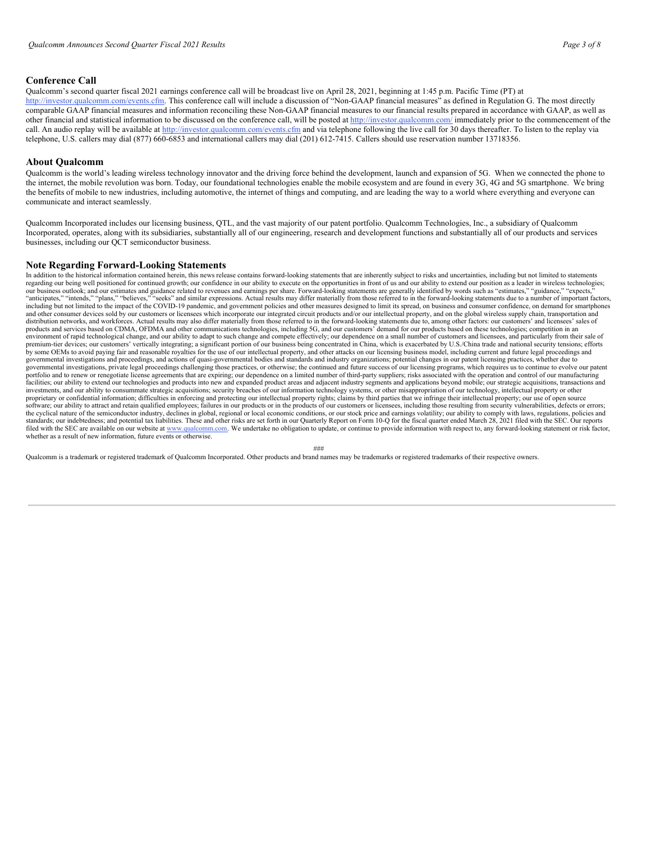### **Conference Call**

Qualcomm's second quarter fiscal 2021 earnings conference call will be broadcast live on April 28, 2021, beginning at 1:45 p.m. Pacific Time (PT) at http://investor.qualcomm.com/events.cfm. This conference call will include a discussion of "Non-GAAP financial measures" as defined in Regulation G. The most directly comparable GAAP financial measures and information reconciling these Non-GAAP financial measures to our financial results prepared in accordance with GAAP, as well as other financial and statistical information to be discussed on the conference call, will be posted at http://investor.qualcomm.com/ immediately prior to the commencement of the call. An audio replay will be available at http://investor.qualcomm.com/events.cfm and via telephone following the live call for 30 days thereafter. To listen to the replay via telephone, U.S. callers may dial (877) 660-6853 and international callers may dial (201) 612-7415. Callers should use reservation number 13718356.

#### **About Qualcomm**

Qualcomm is the world's leading wireless technology innovator and the driving force behind the development, launch and expansion of 5G. When we connected the phone to the internet, the mobile revolution was born. Today, our foundational technologies enable the mobile ecosystem and are found in every 3G, 4G and 5G smartphone. We bring the benefits of mobile to new industries, including automotive, the internet of things and computing, and are leading the way to a world where everything and everyone can communicate and interact seamlessly.

Qualcomm Incorporated includes our licensing business, QTL, and the vast majority of our patent portfolio. Qualcomm Technologies, Inc., a subsidiary of Qualcomm Incorporated, operates, along with its subsidiaries, substantially all of our engineering, research and development functions and substantially all of our products and services businesses, including our QCT semiconductor business.

#### **Note Regarding Forward-Looking Statements**

In addition to the historical information contained herein, this news release contains forward-looking statements that are inherently subject to risks and uncertainties, including but not limited to statements regarding our being well positioned for continued growth; our confidence in our ability to execute on the opportunities in front of us and our ability to extend our position as a leader in wireless technologies; our business outlook; and our estimates and guidance related to revenues and earnings per share. Forward-looking statements are generally identified by words such as "estimates," "guidance," "expects,"<br>"anticipates," "inte and other consumer devices sold by our customers or licensees which incorporate our integrated circuit products and/or our intellectual property, and on the global wireless supply chain, transportation and distribution networks, and workforces. Actual results may also differ materially from those referred to in the forward-looking statements due to, among other factors: our customers' and licensees' sales of products and services based on CDMA, OFDMA and other communications technologies, including 5G, and our customers' demand for our products based on these technologies; competition in an .<br>environment of rapid technological change, and our ability to adapt to such change and compete effectively; our dependence on a small number of customers and licensees, and particularly from their sale of premium-tier devices; our customers' vertically integrating; a significant portion of our business being concentrated in China, which is exacerbated by U.S./China trade and national security tensions; efforts<br>by some OEMs governmental investigations and proceedings, and actions of quasi-governmental bodies and standards and industry organizations; potential changes in our patent licensing practices, whether due to governmental investigations, private legal proceedings challenging those practices, or otherwise; the continued and future success of our licensing programs, which requires us to continue to evolve our patent portfolio and to renew or renegotiate license agreements that are expiring; our dependence on a limited number of third-party suppliers; risks associated with the operation and control of our manufacturing facilities; our ability to extend our technologies and products into new and expanded product areas and adjacent industry segments and applications beyond mobile; our strategic acquisitions, transactions and investments, a proprietary or confidential information; difficulties in enforcing and protecting our intellectual property rights; claims by third parties that we infringe their intellectual property; our use of open source software; our ability to attract and retain qualified employees; failures in our products or in the products of our customers or licensees, including those resulting from security vulnerabilities, defects or errors;<br>the cy standards; our indebtedness; and potential tax liabilities. These and other risks are set forth in our Quarterly Report on Form 10-Q for the fiscal quarter ended March 28, 2021 filed with the SEC. Our reports filed with the SEC are available on our website at www.qualcomm.com. We undertake no obligation to update, or continue to provide information with respect to, any forward-looking statement or risk factor, whether as a result of new information, future events or otherwise.

###

Qualcomm is a trademark or registered trademark of Qualcomm Incorporated. Other products and brand names may be trademarks or registered trademarks of their respective owners.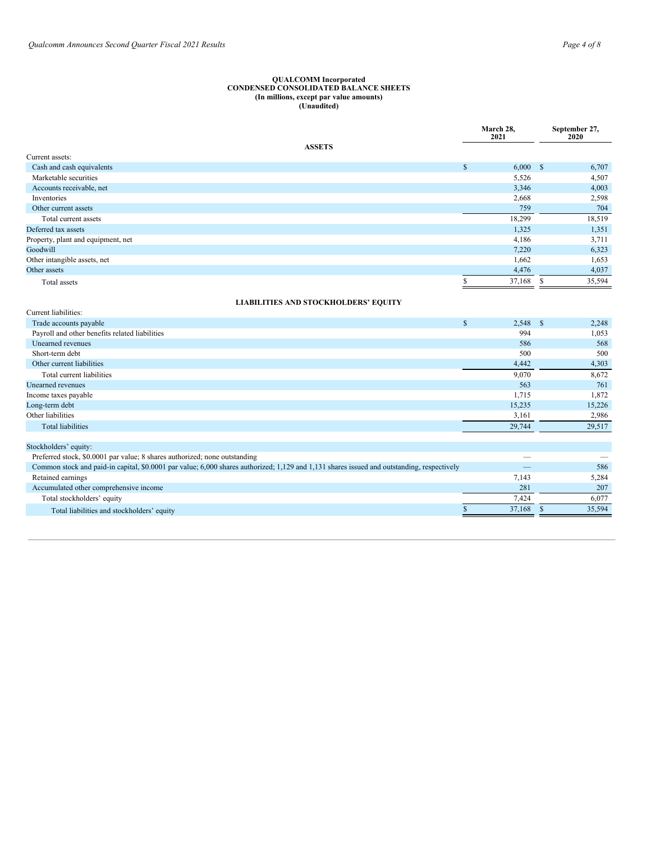#### <span id="page-7-0"></span>**QUALCOMM Incorporated CONDENSED CONSOLIDATED BALANCE SHEETS (In millions, except par value amounts) (Unaudited)**

|                                    |              | March 28,<br>2021 |    | September 27,<br>2020 |
|------------------------------------|--------------|-------------------|----|-----------------------|
| <b>ASSETS</b>                      |              |                   |    |                       |
| Current assets:                    |              |                   |    |                       |
| Cash and cash equivalents          | $\mathbb{S}$ | 6,000 S           |    | 6,707                 |
| Marketable securities              |              | 5,526             |    | 4,507                 |
| Accounts receivable, net           |              | 3,346             |    | 4,003                 |
| Inventories                        |              | 2,668             |    | 2,598                 |
| Other current assets               |              | 759               |    | 704                   |
| Total current assets               |              | 18,299            |    | 18,519                |
| Deferred tax assets                |              | 1,325             |    | 1,351                 |
| Property, plant and equipment, net |              | 4,186             |    | 3,711                 |
| Goodwill                           |              | 7,220             |    | 6,323                 |
| Other intangible assets, net       |              | 1,662             |    | 1,653                 |
| Other assets                       |              | 4,476             |    | 4,037                 |
| Total assets                       |              | 37,168            | -S | 35,594                |
|                                    |              |                   |    |                       |

# **LIABILITIES AND STOCKHOLDERS' EQUITY**

| Current liabilities:                                                                                                                       |            |        |
|--------------------------------------------------------------------------------------------------------------------------------------------|------------|--------|
| \$<br>Trade accounts payable                                                                                                               | $2,548$ \$ | 2,248  |
| Payroll and other benefits related liabilities                                                                                             | 994        | 1,053  |
| Unearned revenues                                                                                                                          | 586        | 568    |
| Short-term debt                                                                                                                            | 500        | 500    |
| Other current liabilities                                                                                                                  | 4,442      | 4,303  |
| Total current liabilities                                                                                                                  | 9,070      | 8,672  |
| Unearned revenues                                                                                                                          | 563        | 761    |
| Income taxes payable                                                                                                                       | 1,715      | 1,872  |
| Long-term debt                                                                                                                             | 15,235     | 15,226 |
| Other liabilities                                                                                                                          | 3,161      | 2,986  |
| <b>Total liabilities</b>                                                                                                                   | 29,744     | 29,517 |
|                                                                                                                                            |            |        |
| Stockholders' equity:                                                                                                                      |            |        |
| Preferred stock, \$0.0001 par value; 8 shares authorized; none outstanding                                                                 |            |        |
| Common stock and paid-in capital, \$0.0001 par value; 6,000 shares authorized; 1,129 and 1,131 shares issued and outstanding, respectively |            | 586    |
| Retained earnings                                                                                                                          | 7,143      | 5,284  |
| Accumulated other comprehensive income                                                                                                     | 281        | 207    |
| Total stockholders' equity                                                                                                                 | 7,424      | 6,077  |
| Total liabilities and stockholders' equity                                                                                                 | 37,168     | 35,594 |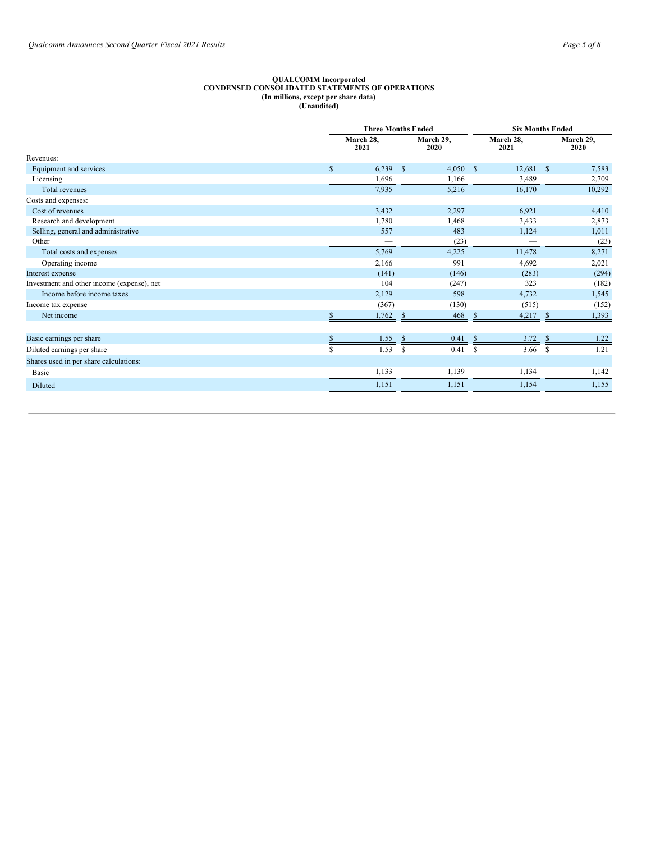#### **QUALCOMM Incorporated CONDENSED CONSOLIDATED STATEMENTS OF OPERATIONS (In millions, except per share data) (Unaudited)**

| <b>Three Months Ended</b> |                          |  |                   | <b>Six Months Ended</b> |                          |               |                   |
|---------------------------|--------------------------|--|-------------------|-------------------------|--------------------------|---------------|-------------------|
|                           | March 28,<br>2021        |  | March 29,<br>2020 |                         | March 28,<br>2021        |               | March 29,<br>2020 |
|                           |                          |  |                   |                         |                          |               |                   |
| $\mathbb{S}$              | 6,239                    |  | 4,050             | -S                      | 12,681                   | $\mathbb{S}$  | 7,583             |
|                           | 1,696                    |  | 1,166             |                         | 3,489                    |               | 2,709             |
|                           | 7,935                    |  | 5,216             |                         | 16,170                   |               | 10,292            |
|                           |                          |  |                   |                         |                          |               |                   |
|                           | 3,432                    |  | 2,297             |                         | 6.921                    |               | 4,410             |
|                           | 1,780                    |  | 1,468             |                         | 3,433                    |               | 2,873             |
|                           | 557                      |  | 483               |                         | 1,124                    |               | 1,011             |
|                           | $\overline{\phantom{0}}$ |  | (23)              |                         | $\overline{\phantom{a}}$ |               | (23)              |
|                           | 5,769                    |  | 4,225             |                         | 11.478                   |               | 8,271             |
|                           | 2,166                    |  | 991               |                         | 4,692                    |               | 2,021             |
|                           | (141)                    |  | (146)             |                         | (283)                    |               | (294)             |
|                           | 104                      |  | (247)             |                         | 323                      |               | (182)             |
|                           | 2,129                    |  | 598               |                         | 4,732                    |               | 1,545             |
|                           | (367)                    |  | (130)             |                         | (515)                    |               | (152)             |
|                           | 1,762                    |  | 468               | $\mathbb{S}$            | 4,217                    | <sup>\$</sup> | 1,393             |
|                           |                          |  |                   |                         |                          |               |                   |
|                           | 1.55                     |  | 0.41              |                         | 3.72                     |               | 1.22              |
|                           | 1.53                     |  | 0.41              |                         | 3.66                     |               | 1.21              |
|                           |                          |  |                   |                         |                          |               |                   |
|                           | 1,133                    |  | 1,139             |                         | 1,134                    |               | 1,142             |
|                           | 1,151                    |  | 1,151             |                         | 1,154                    |               | 1,155             |
|                           |                          |  |                   | -\$<br>\$               |                          |               |                   |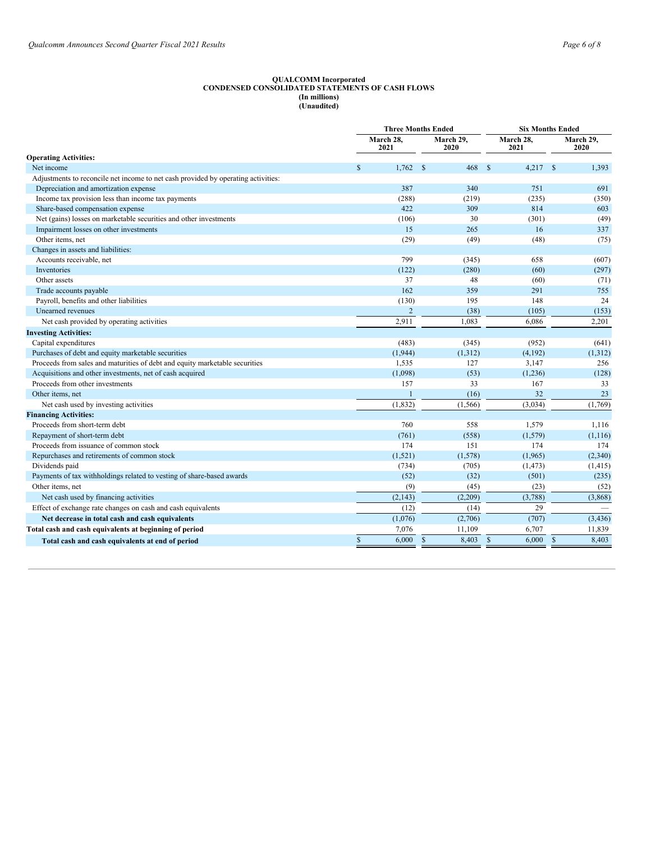#### **QUALCOMM Incorporated CONDENSED CONSOLIDATED STATEMENTS OF CASH FLOWS (In millions) (Unaudited)**

|                                                                                   | <b>Three Months Ended</b> | <b>Six Months Ended</b> |                       |                        |
|-----------------------------------------------------------------------------------|---------------------------|-------------------------|-----------------------|------------------------|
|                                                                                   | March 28,<br>2021         | March 29.<br>2020       | March 28,<br>2021     | March 29,<br>2020      |
| <b>Operating Activities:</b>                                                      |                           |                         |                       |                        |
| Net income                                                                        | \$<br>1,762               | 468<br>- \$             | 4,217<br><sup>S</sup> | 1,393<br>$\mathcal{S}$ |
| Adjustments to reconcile net income to net cash provided by operating activities: |                           |                         |                       |                        |
| Depreciation and amortization expense                                             | 387                       | 340                     | 751                   | 691                    |
| Income tax provision less than income tax payments                                | (288)                     | (219)                   | (235)                 | (350)                  |
| Share-based compensation expense                                                  | 422                       | 309                     | 814                   | 603                    |
| Net (gains) losses on marketable securities and other investments                 | (106)                     | 30                      | (301)                 | (49)                   |
| Impairment losses on other investments                                            | 15                        | 265                     | 16                    | 337                    |
| Other items, net                                                                  | (29)                      | (49)                    | (48)                  | (75)                   |
| Changes in assets and liabilities:                                                |                           |                         |                       |                        |
| Accounts receivable, net                                                          | 799                       | (345)                   | 658                   | (607)                  |
| <b>Inventories</b>                                                                | (122)                     | (280)                   | (60)                  | (297)                  |
| Other assets                                                                      | 37                        | 48                      | (60)                  | (71)                   |
| Trade accounts payable                                                            | 162                       | 359                     | 291                   | 755                    |
| Payroll, benefits and other liabilities                                           | (130)                     | 195                     | 148                   | 24                     |
| Unearned revenues                                                                 | $\overline{2}$            | (38)                    | (105)                 | (153)                  |
| Net cash provided by operating activities                                         | 2,911                     | 1.083                   | 6,086                 | 2,201                  |
| <b>Investing Activities:</b>                                                      |                           |                         |                       |                        |
| Capital expenditures                                                              | (483)                     | (345)                   | (952)                 | (641)                  |
| Purchases of debt and equity marketable securities                                | (1,944)                   | (1,312)                 | (4,192)               | (1,312)                |
| Proceeds from sales and maturities of debt and equity marketable securities       | 1,535                     | 127                     | 3,147                 | 256                    |
| Acquisitions and other investments, net of cash acquired                          | (1,098)                   | (53)                    | (1,236)               | (128)                  |
| Proceeds from other investments                                                   | 157                       | 33                      | 167                   | 33                     |
| Other items, net                                                                  |                           | (16)                    | 32                    | 23                     |
| Net cash used by investing activities                                             | (1, 832)                  | (1, 566)                | (3,034)               | (1,769)                |
| <b>Financing Activities:</b>                                                      |                           |                         |                       |                        |
| Proceeds from short-term debt                                                     | 760                       | 558                     | 1,579                 | 1,116                  |
| Repayment of short-term debt                                                      | (761)                     | (558)                   | (1,579)               | (1, 116)               |
| Proceeds from issuance of common stock                                            | 174                       | 151                     | 174                   | 174                    |
| Repurchases and retirements of common stock                                       | (1,521)                   | (1,578)                 | (1,965)               | (2,340)                |
| Dividends paid                                                                    | (734)                     | (705)                   | (1, 473)              | (1, 415)               |
| Payments of tax withholdings related to vesting of share-based awards             | (52)                      | (32)                    | (501)                 | (235)                  |
| Other items, net                                                                  | (9)                       | (45)                    | (23)                  | (52)                   |
| Net cash used by financing activities                                             | (2,143)                   | (2,209)                 | (3,788)               | (3,868)                |
| Effect of exchange rate changes on cash and cash equivalents                      | (12)                      | (14)                    | 29                    |                        |
| Net decrease in total cash and cash equivalents                                   | (1,076)                   | (2,706)                 | (707)                 | (3, 436)               |
| Total cash and cash equivalents at beginning of period                            | 7,076                     | 11,109                  | 6,707                 | 11,839                 |
| Total cash and cash equivalents at end of period                                  | \$<br>6,000               | $\mathsf{\$}$<br>8,403  | $\mathbb{S}$<br>6,000 | $\mathbb{S}$<br>8,403  |
|                                                                                   |                           |                         |                       |                        |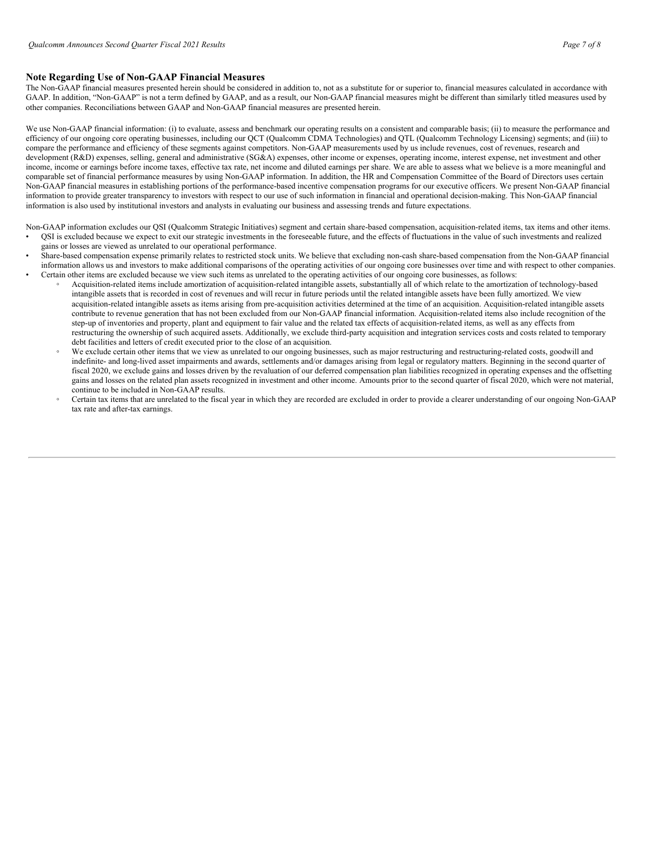# **Note Regarding Use of Non-GAAP Financial Measures**

The Non-GAAP financial measures presented herein should be considered in addition to, not as a substitute for or superior to, financial measures calculated in accordance with GAAP. In addition, "Non-GAAP" is not a term defined by GAAP, and as a result, our Non-GAAP financial measures might be different than similarly titled measures used by other companies. Reconciliations between GAAP and Non-GAAP financial measures are presented herein.

We use Non-GAAP financial information: (i) to evaluate, assess and benchmark our operating results on a consistent and comparable basis; (ii) to measure the performance and efficiency of our ongoing core operating businesses, including our QCT (Qualcomm CDMA Technologies) and QTL (Qualcomm Technology Licensing) segments; and (iii) to compare the performance and efficiency of these segments against competitors. Non-GAAP measurements used by us include revenues, cost of revenues, research and development (R&D) expenses, selling, general and administrative (SG&A) expenses, other income or expenses, operating income, interest expense, net investment and other income, income or earnings before income taxes, effective tax rate, net income and diluted earnings per share. We are able to assess what we believe is a more meaningful and comparable set of financial performance measures by using Non-GAAP information. In addition, the HR and Compensation Committee of the Board of Directors uses certain Non-GAAP financial measures in establishing portions of the performance-based incentive compensation programs for our executive officers. We present Non-GAAP financial information to provide greater transparency to investors with respect to our use of such information in financial and operational decision-making. This Non-GAAP financial information is also used by institutional investors and analysts in evaluating our business and assessing trends and future expectations.

Non-GAAP information excludes our QSI (Qualcomm Strategic Initiatives) segment and certain share-based compensation, acquisition-related items, tax items and other items. • QSI is excluded because we expect to exit our strategic investments in the foreseeable future, and the effects of fluctuations in the value of such investments and realized

- gains or losses are viewed as unrelated to our operational performance.
	- Share-based compensation expense primarily relates to restricted stock units. We believe that excluding non-cash share-based compensation from the Non-GAAP financial information allows us and investors to make additional comparisons of the operating activities of our ongoing core businesses over time and with respect to other companies. • Certain other items are excluded because we view such items as unrelated to the operating activities of our ongoing core businesses, as follows:
		- Acquisition-related items include amortization of acquisition-related intangible assets, substantially all of which relate to the amortization of technology-based intangible assets that is recorded in cost of revenues and will recur in future periods until the related intangible assets have been fully amortized. We view acquisition-related intangible assets as items arising from pre-acquisition activities determined at the time of an acquisition. Acquisition-related intangible assets contribute to revenue generation that has not been excluded from our Non-GAAP financial information. Acquisition-related items also include recognition of the step-up of inventories and property, plant and equipment to fair value and the related tax effects of acquisition-related items, as well as any effects from restructuring the ownership of such acquired assets. Additionally, we exclude third-party acquisition and integration services costs and costs related to temporary debt facilities and letters of credit executed prior to the close of an acquisition.
		- We exclude certain other items that we view as unrelated to our ongoing businesses, such as major restructuring and restructuring-related costs, goodwill and indefinite- and long-lived asset impairments and awards, settlements and/or damages arising from legal or regulatory matters. Beginning in the second quarter of fiscal 2020, we exclude gains and losses driven by the revaluation of our deferred compensation plan liabilities recognized in operating expenses and the offsetting gains and losses on the related plan assets recognized in investment and other income. Amounts prior to the second quarter of fiscal 2020, which were not material, continue to be included in Non-GAAP results.
		- Certain tax items that are unrelated to the fiscal year in which they are recorded are excluded in order to provide a clearer understanding of our ongoing Non-GAAP tax rate and after-tax earnings.